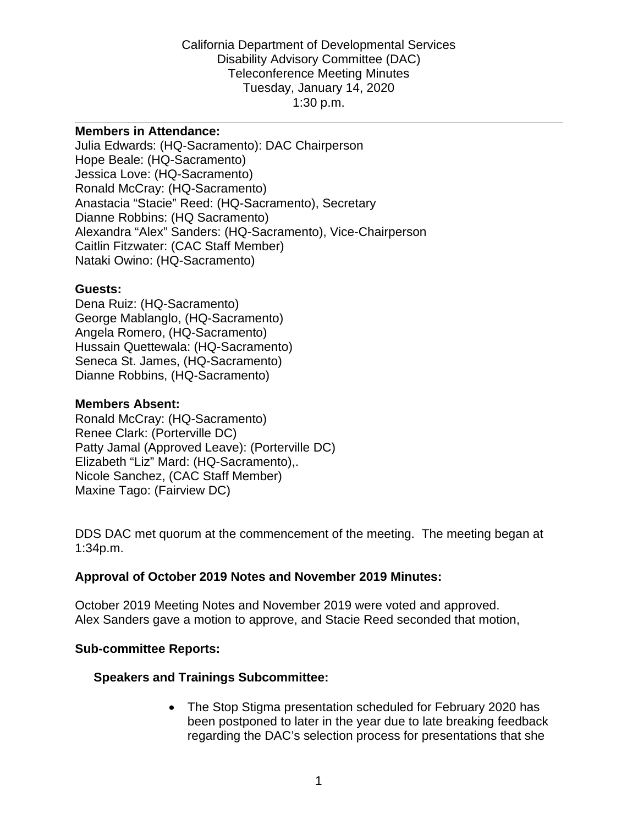California Department of Developmental Services Disability Advisory Committee (DAC) Teleconference Meeting Minutes Tuesday, January 14, 2020 1:30 p.m.

#### **Members in Attendance:**

Julia Edwards: (HQ-Sacramento): DAC Chairperson Hope Beale: (HQ-Sacramento) Jessica Love: (HQ-Sacramento) Ronald McCray: (HQ-Sacramento) Anastacia "Stacie" Reed: (HQ-Sacramento), Secretary Dianne Robbins: (HQ Sacramento) Alexandra "Alex" Sanders: (HQ-Sacramento), Vice-Chairperson Caitlin Fitzwater: (CAC Staff Member) Nataki Owino: (HQ-Sacramento)

#### **Guests:**

Dena Ruiz: (HQ-Sacramento) George Mablanglo, (HQ-Sacramento) Angela Romero, (HQ-Sacramento) Hussain Quettewala: (HQ-Sacramento) Seneca St. James, (HQ-Sacramento) Dianne Robbins, (HQ-Sacramento)

#### **Members Absent:**

Ronald McCray: (HQ-Sacramento) Renee Clark: (Porterville DC) Patty Jamal (Approved Leave): (Porterville DC) Elizabeth "Liz" Mard: (HQ-Sacramento),. Nicole Sanchez, (CAC Staff Member) Maxine Tago: (Fairview DC)

DDS DAC met quorum at the commencement of the meeting. The meeting began at 1:34p.m.

### **Approval of October 2019 Notes and November 2019 Minutes:**

October 2019 Meeting Notes and November 2019 were voted and approved. Alex Sanders gave a motion to approve, and Stacie Reed seconded that motion,

### **Sub-committee Reports:**

### **Speakers and Trainings Subcommittee:**

• The Stop Stigma presentation scheduled for February 2020 has been postponed to later in the year due to late breaking feedback regarding the DAC's selection process for presentations that she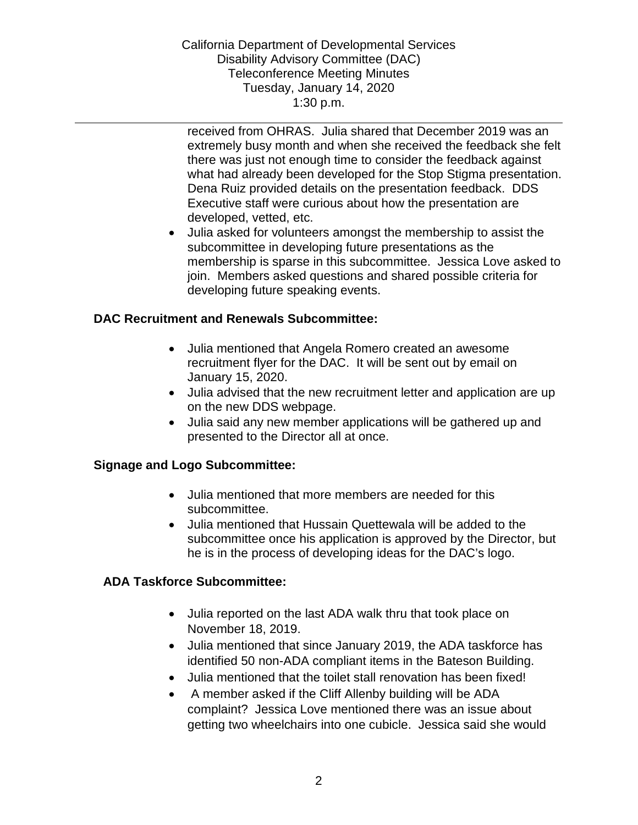California Department of Developmental Services Disability Advisory Committee (DAC) Teleconference Meeting Minutes Tuesday, January 14, 2020 1:30 p.m.

received from OHRAS. Julia shared that December 2019 was an extremely busy month and when she received the feedback she felt there was just not enough time to consider the feedback against what had already been developed for the Stop Stigma presentation. Dena Ruiz provided details on the presentation feedback. DDS Executive staff were curious about how the presentation are developed, vetted, etc.

• Julia asked for volunteers amongst the membership to assist the subcommittee in developing future presentations as the membership is sparse in this subcommittee. Jessica Love asked to join. Members asked questions and shared possible criteria for developing future speaking events.

### **DAC Recruitment and Renewals Subcommittee:**

- Julia mentioned that Angela Romero created an awesome recruitment flyer for the DAC. It will be sent out by email on January 15, 2020.
- Julia advised that the new recruitment letter and application are up on the new DDS webpage.
- Julia said any new member applications will be gathered up and presented to the Director all at once.

### **Signage and Logo Subcommittee:**

- Julia mentioned that more members are needed for this subcommittee.
- Julia mentioned that Hussain Quettewala will be added to the subcommittee once his application is approved by the Director, but he is in the process of developing ideas for the DAC's logo.

# **ADA Taskforce Subcommittee:**

- Julia reported on the last ADA walk thru that took place on November 18, 2019.
- Julia mentioned that since January 2019, the ADA taskforce has identified 50 non-ADA compliant items in the Bateson Building.
- Julia mentioned that the toilet stall renovation has been fixed!
- A member asked if the Cliff Allenby building will be ADA complaint? Jessica Love mentioned there was an issue about getting two wheelchairs into one cubicle. Jessica said she would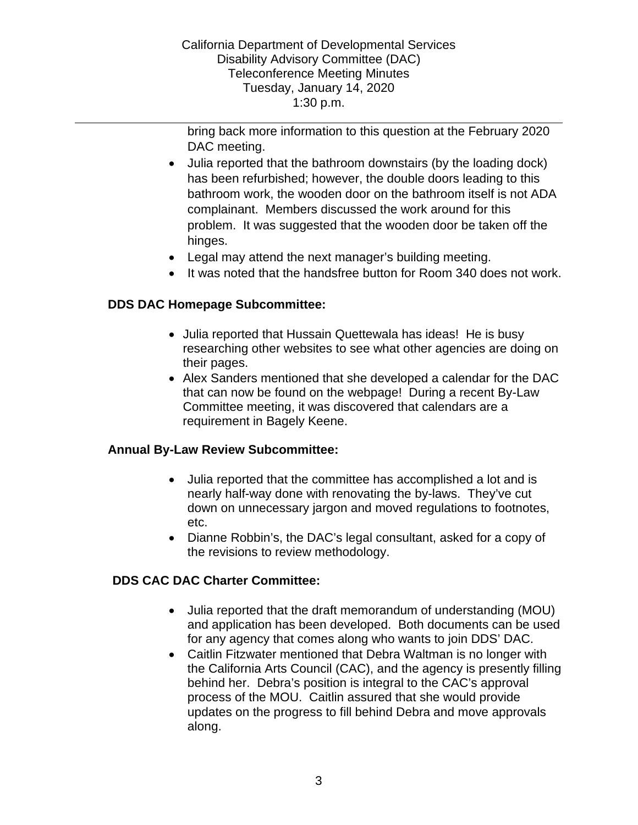California Department of Developmental Services Disability Advisory Committee (DAC) Teleconference Meeting Minutes Tuesday, January 14, 2020 1:30 p.m.

bring back more information to this question at the February 2020 DAC meeting.

- Julia reported that the bathroom downstairs (by the loading dock) has been refurbished; however, the double doors leading to this bathroom work, the wooden door on the bathroom itself is not ADA complainant. Members discussed the work around for this problem. It was suggested that the wooden door be taken off the hinges.
- Legal may attend the next manager's building meeting.
- It was noted that the handsfree button for Room 340 does not work.

### **DDS DAC Homepage Subcommittee:**

- Julia reported that Hussain Quettewala has ideas! He is busy researching other websites to see what other agencies are doing on their pages.
- Alex Sanders mentioned that she developed a calendar for the DAC that can now be found on the webpage! During a recent By-Law Committee meeting, it was discovered that calendars are a requirement in Bagely Keene.

### **Annual By-Law Review Subcommittee:**

- Julia reported that the committee has accomplished a lot and is nearly half-way done with renovating the by-laws. They've cut down on unnecessary jargon and moved regulations to footnotes, etc.
- Dianne Robbin's, the DAC's legal consultant, asked for a copy of the revisions to review methodology.

# **DDS CAC DAC Charter Committee:**

- Julia reported that the draft memorandum of understanding (MOU) and application has been developed. Both documents can be used for any agency that comes along who wants to join DDS' DAC.
- Caitlin Fitzwater mentioned that Debra Waltman is no longer with the California Arts Council (CAC), and the agency is presently filling behind her. Debra's position is integral to the CAC's approval process of the MOU. Caitlin assured that she would provide updates on the progress to fill behind Debra and move approvals along.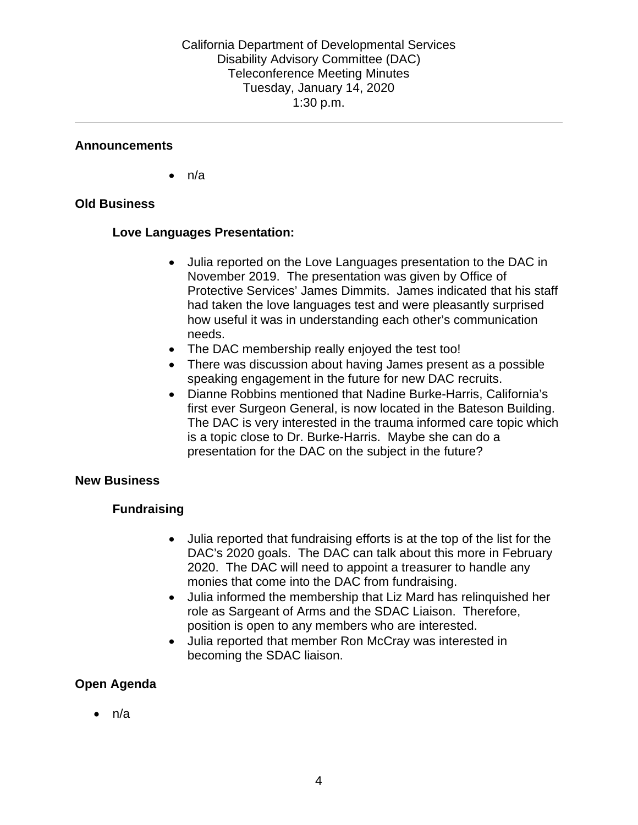### **Announcements**

 $\bullet$  n/a

### **Old Business**

### **Love Languages Presentation:**

- Julia reported on the Love Languages presentation to the DAC in November 2019. The presentation was given by Office of Protective Services' James Dimmits. James indicated that his staff had taken the love languages test and were pleasantly surprised how useful it was in understanding each other's communication needs.
- The DAC membership really enjoyed the test too!
- There was discussion about having James present as a possible speaking engagement in the future for new DAC recruits.
- Dianne Robbins mentioned that Nadine Burke-Harris, California's first ever Surgeon General, is now located in the Bateson Building. The DAC is very interested in the trauma informed care topic which is a topic close to Dr. Burke-Harris. Maybe she can do a presentation for the DAC on the subject in the future?

### **New Business**

# **Fundraising**

- Julia reported that fundraising efforts is at the top of the list for the DAC's 2020 goals. The DAC can talk about this more in February 2020. The DAC will need to appoint a treasurer to handle any monies that come into the DAC from fundraising.
- Julia informed the membership that Liz Mard has relinquished her role as Sargeant of Arms and the SDAC Liaison. Therefore, position is open to any members who are interested.
- Julia reported that member Ron McCray was interested in becoming the SDAC liaison.

# **Open Agenda**

• n/a